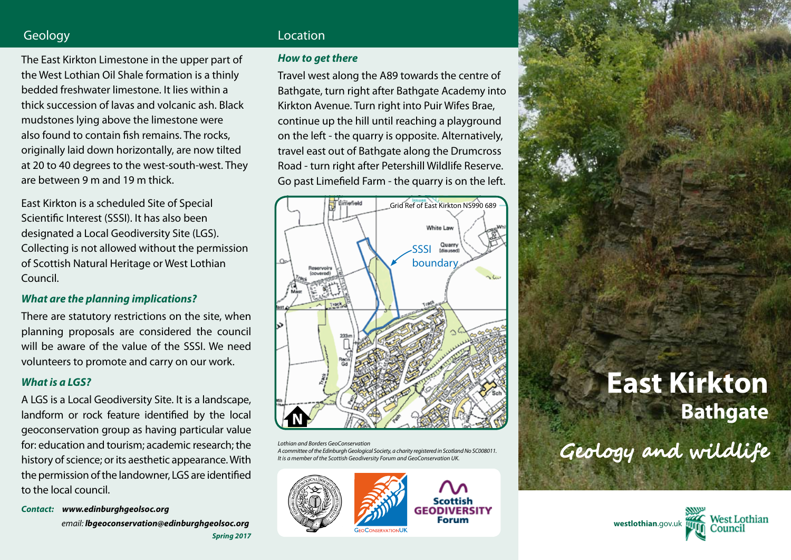# Geology **Location Location**

The East Kirkton Limestone in the upper part of the West Lothian Oil Shale formation is a thinly bedded freshwater limestone. It lies within a thick succession of lavas and volcanic ash. Black mudstones lying above the limestone were also found to contain fish remains. The rocks, originally laid down horizontally, are now tilted at 20 to 40 degrees to the west-south-west. They are between 9 m and 19 m thick.

East Kirkton is a scheduled Site of Special Scientific Interest (SSSI). It has also been designated a Local Geodiversity Site (LGS). Collecting is not allowed without the permission of Scottish Natural Heritage or West Lothian Council.

## *What are the planning implications?*

There are statutory restrictions on the site, when planning proposals are considered the council will be aware of the value of the SSSI. We need volunteers to promote and carry on our work.

# *What is a LGS?*

A LGS is a Local Geodiversity Site. It is a landscape, landform or rock feature identified by the local geoconservation group as having particular value for: education and tourism; academic research; the history of science; or its aesthetic appearance. With the permission of the landowner, LGS are identified to the local council.

*Contact: www.edinburghgeolsoc.org*

*Spring 2017 email: lbgeoconservation@edinburghgeolsoc.org*

### *How to get there*

Travel west along the A89 towards the centre of Bathgate, turn right after Bathgate Academy into Kirkton Avenue. Turn right into Puir Wifes Brae, continue up the hill until reaching a playground on the left - the quarry is opposite. Alternatively, travel east out of Bathgate along the Drumcross Road - turn right after Petershill Wildlife Reserve. Go past Limefield Farm - the quarry is on the left.



*Lothian and Borders GeoConservation A committee of the Edinburgh Geological Society, a charity registered in Scotland No SC008011. It is a member of the Scottish Geodiversity Forum and GeoConservation UK.*





**East Kirkton Bathgate** Geology and wildlife